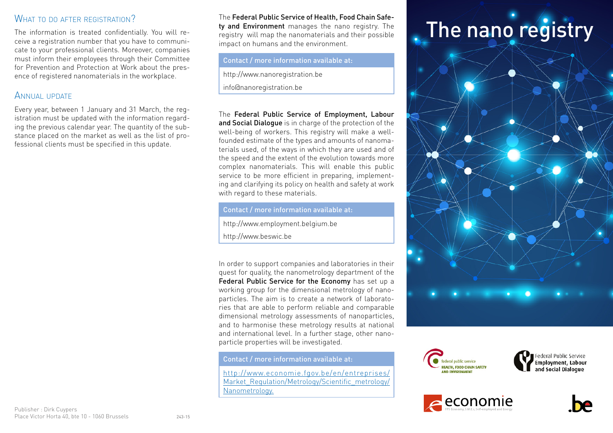The information is treated confidentially. You will receive a registration number that you have to communicate to your professional clients. Moreover, companies must inform their employees through their Committee for Prevention and Protection at Work about the presence of registered nanomaterials in the workplace.

#### ANNUAL UPDATE

Every year, between 1 January and 31 March, the registration must be updated with the information regarding the previous calendar year. The quantity of the substance placed on the market as well as the list of professional clients must be specified in this update.

WHAT TO DO AFTER REGISTRATION?<br>The information is treated confidentially. You will re-<br>The information is treated confidentially. You will re-<br>registry will map the nanomaterials and their possible The Federal Public Service of Health, Food Chain Safety and Environment manages the nano registry. The registry will map the nanomaterials and their possible impact on humans and the environment.

#### Contact / more information available at:

http://www.nanoregistration.be [info@nanoregistration.be](mailto:info@nanoregistration.be)

The Federal Public Service of Employment, Labour and Social Dialogue is in charge of the protection of the well-being of workers. This registry will make a wellfounded estimate of the types and amounts of nanomaterials used, of the ways in which they are used and of the speed and the extent of the evolution towards more complex nanomaterials. This will enable this public service to be more efficient in preparing, implementing and clarifying its policy on health and safety at work with regard to these materials.

Contact / more information available at:

http://www.employment.belgium.be

http://www.beswic.be

In order to support companies and laboratories in their quest for quality, the nanometrology department of the Federal Public Service for the Economy has set up a working group for the dimensional metrology of nanoparticles. The aim is to create a network of laboratories that are able to perform reliable and comparable dimensional metrology assessments of nanoparticles, and to harmonise these metrology results at national and international level. In a further stage, other nanoparticle properties will be investigated.

Contact / more information available at:

http://[www.economie.fgov.be/en/entreprises/](http://www.economie.fgov.be/en/entreprises/Market_Regulation/Metrology/Scientific_metrology/Nanometrology) [Market\\_Regulation/Metrology/Scientific\\_metrology/](http://www.economie.fgov.be/en/entreprises/Market_Regulation/Metrology/Scientific_metrology/Nanometrology) [Nanometrology](http://www.economie.fgov.be/en/entreprises/Market_Regulation/Metrology/Scientific_metrology/Nanometrology).





Federal Public Service **Employment, Labour** and Social Dialogue